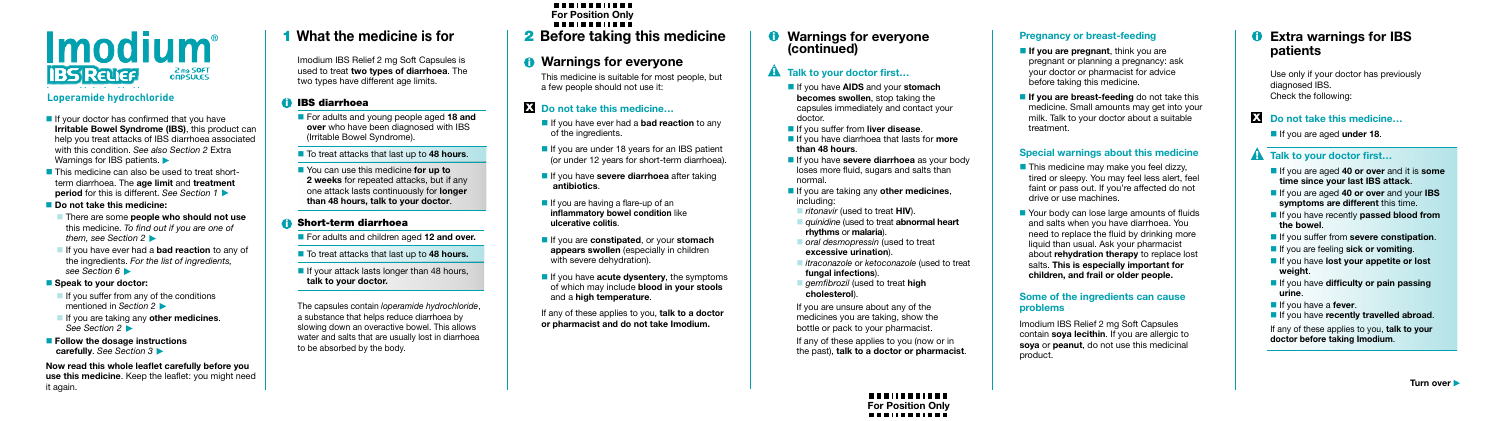#### **What the medicine is for 1** What the medicine is for **2** Before taking this medicine **0** Warnings for everyone

Imodium IBS Relief 2 mg Soft Capsules is used to treat **two types of diarrhoea**. The two types have different age limits.

# **i** IBS diarrhoea

- For adults and young people aged **18 and over** who have been diagnosed with IBS (Irritable Bowel Syndrome).
- To treat attacks that last up to 48 hours.
- You can use this medicine **for up to 2 weeks** for repeated attacks, but if any one attack lasts continuously for **longer than 48 hours, talk to your doctor**.

# **i** Short-term diarrhoea

- For adults and children aged **12 and over.**
- To treat attacks that last up to 48 hours.
- $\blacksquare$  If your attack lasts longer than 48 hours, **talk to your doctor.**
- $\blacksquare$  If your doctor has confirmed that you have **Irritable Bowel Syndrome (IBS)**, this product can help you treat attacks of IBS diarrhoea associated with this condition. *See also Section 2* Extra Warnings for IBS patients.
- **This medicine can also be used to treat short**term diarrhoea. The **age limit** and **treatment period** for this is different. *See Section 1*
- **Do not take this medicine:**
- There are some **people who should not use** this medicine. *To find out if you are one of them, see Section 2*
- If you have ever had a **bad reaction** to any of the ingredients. *For the list of ingredients, see Section 6*

The capsules contain *loperamide hydrochloride*, a substance that helps reduce diarrhoea by slowing down an overactive bowel. This allows water and salts that are usually lost in diarrhoea to be absorbed by the body.

- $\blacksquare$  If you suffer from any of the conditions mentioned in *Section 2*
- If you are taking any **other medicines**. *See Section 2*
- **Follow the dosage instructions carefully**. *See Section 3*

#### *DESCRIPTION CONTINUES* **Do not take this medicine…**

- **If** you have ever had a **bad reaction** to any of the ingredients.
- If you are under 18 years for an IBS patient (or under 12 years for short-term diarrhoea).
- **If you have severe diarrhoea** after taking **antibiotics**.
- If you are having a flare-up of an **inflammatory bowel condition** like **ulcerative colitis**.
- If you are **constipated**, or your **stomach appears swollen** (especially in children with severe dehydration).
- **If you have acute dysentery**, the symptoms of which may include **blood in your stools** and a **high temperature**.

### **Speak to your doctor:**

- **If you have AIDS and your stomach becomes swollen**, stop taking the capsules immediately and contact your doctor.
- **If you suffer from liver disease.**
- If you have diarrhoea that lasts for **more than 48 hours**.
- **If you have severe diarrhoea** as your body loses more fluid, sugars and salts than normal.
- If you are taking any **other medicines**, including:
- *ritonavir* (used to treat **HIV**).
- **quinidine** (used to treat **abnormal heart rhythms** or **malaria**).
- *oral desmopressin* (used to treat **excessive urination**).
- *itraconazole* or *ketoconazole* (used to treat **fungal infections**).
- **gemfibrozil** (used to treat **high cholesterol**).

**Now read this whole leaflet carefully before you use this medicine**. Keep the leaflet: you might need it again.

This medicine is suitable for most people, but a few people should not use it:

- **If you are pregnant**, think you are pregnant or planning a pregnancy: ask your doctor or pharmacist for advice before taking this medicine.
- **If you are breast-feeding** do not take this medicine. Small amounts may get into your milk. Talk to your doctor about a suitable treatment.

- $\blacksquare$  This medicine may make you feel dizzy, tired or sleepy. You may feel less alert, feel faint or pass out. If you're affected do not drive or use machines.
- Your body can lose large amounts of fluids and salts when you have diarrhoea. You need to replace the fluid by drinking more liquid than usual. Ask your pharmacist about **rehydration therapy** to replace lost salts. **This is especially important for children, and frail or older people.**

If any of these applies to you, **talk to a doctor or pharmacist and do not take Imodium.**

If you are unsure about any of the medicines you are taking, show the bottle or pack to your pharmacist.

If any of these applies to you (now or in the past), **talk to a doctor or pharmacist**.

-----------

### **Pregnancy or breast-feeding**

# **Special warnings about this medicine**

# **(continued)**  i i

# **A** Talk to your doctor first...

#### **Some of the ingredients can cause problems**

Imodium IBS Relief 2 mg Soft Capsules contain **soya lecithin**. If you are allergic to **soya** or **peanut**, do not use this medicinal product.

Use only if your doctor has previously diagnosed IBS. Check the following:

# **i** Do not take this medicine...

If you are aged **under 18**.

# **A** Talk to your doctor first...

- If you are aged 40 or over and it is **some time since your last IBS attack**.
- If you are aged **40 or over** and your **IBS symptoms are different** this time.
- **If you have recently passed blood from the bowel**.
- **If you suffer from severe constipation.**
- **If you are feeling sick or vomiting.**
- If you have **lost your appetite or lost weight**.
- **If you have difficulty or pain passing urine**.
- If you have a **fever**.
- **If you have recently travelled abroad.**

#### **Extra warnings for IBS patients** i

If any of these applies to you, **talk to your doctor before taking Imodium**.



# **Loperamide hydrochloride Loperamide hydr hydrochloride**

# **For Position Only**

# *U* Warnings for everyone